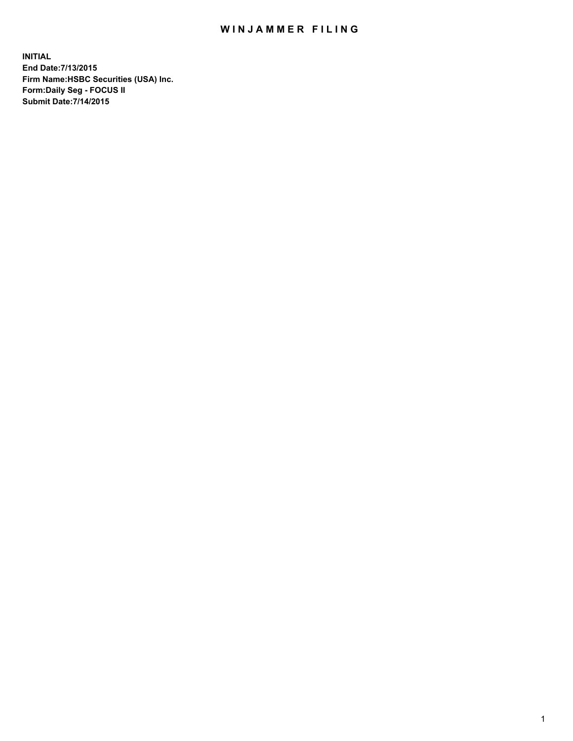## WIN JAMMER FILING

**INITIAL End Date:7/13/2015 Firm Name:HSBC Securities (USA) Inc. Form:Daily Seg - FOCUS II Submit Date:7/14/2015**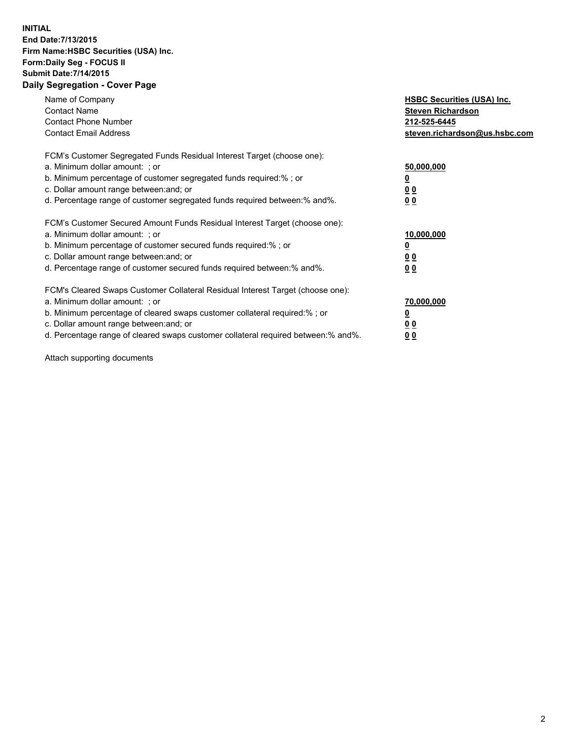## **INITIAL End Date:7/13/2015 Firm Name:HSBC Securities (USA) Inc. Form:Daily Seg - FOCUS II Submit Date:7/14/2015 Daily Segregation - Cover Page**

| Name of Company<br><b>Contact Name</b><br><b>Contact Phone Number</b><br><b>Contact Email Address</b>                                                                                                                                                                                                                          | <b>HSBC Securities (USA) Inc.</b><br><b>Steven Richardson</b><br>212-525-6445<br>steven.richardson@us.hsbc.com |
|--------------------------------------------------------------------------------------------------------------------------------------------------------------------------------------------------------------------------------------------------------------------------------------------------------------------------------|----------------------------------------------------------------------------------------------------------------|
| FCM's Customer Segregated Funds Residual Interest Target (choose one):<br>a. Minimum dollar amount: ; or<br>b. Minimum percentage of customer segregated funds required:%; or<br>c. Dollar amount range between: and; or<br>d. Percentage range of customer segregated funds required between: % and %.                        | 50,000,000<br>0 <sub>0</sub><br>0 <sub>0</sub>                                                                 |
| FCM's Customer Secured Amount Funds Residual Interest Target (choose one):<br>a. Minimum dollar amount: ; or<br>b. Minimum percentage of customer secured funds required:%; or<br>c. Dollar amount range between: and; or<br>d. Percentage range of customer secured funds required between:% and%.                            | 10,000,000<br><u>0</u><br>0 <sub>0</sub><br>0 <sub>0</sub>                                                     |
| FCM's Cleared Swaps Customer Collateral Residual Interest Target (choose one):<br>a. Minimum dollar amount: ; or<br>b. Minimum percentage of cleared swaps customer collateral required:% ; or<br>c. Dollar amount range between: and; or<br>d. Percentage range of cleared swaps customer collateral required between:% and%. | 70,000,000<br>00<br><u>00</u>                                                                                  |

Attach supporting documents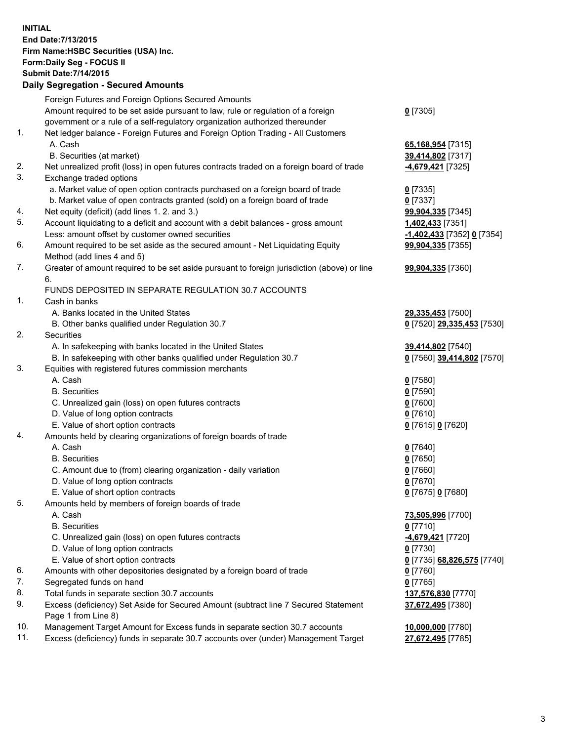**INITIAL End Date:7/13/2015 Firm Name:HSBC Securities (USA) Inc. Form:Daily Seg - FOCUS II Submit Date:7/14/2015 Daily Segregation - Secured Amounts**

Foreign Futures and Foreign Options Secured Amounts Amount required to be set aside pursuant to law, rule or regulation of a foreign government or a rule of a self-regulatory organization authorized thereunder **0** [7305] 1. Net ledger balance - Foreign Futures and Foreign Option Trading - All Customers A. Cash **65,168,954** [7315] B. Securities (at market) **39,414,802** [7317] 2. Net unrealized profit (loss) in open futures contracts traded on a foreign board of trade **-4,679,421** [7325] 3. Exchange traded options a. Market value of open option contracts purchased on a foreign board of trade **0** [7335] b. Market value of open contracts granted (sold) on a foreign board of trade **0** [7337] 4. Net equity (deficit) (add lines 1. 2. and 3.) **99,904,335** [7345] 5. Account liquidating to a deficit and account with a debit balances - gross amount **1,402,433** [7351] Less: amount offset by customer owned securities **-1,402,433** [7352] **0** [7354] 6. Amount required to be set aside as the secured amount - Net Liquidating Equity Method (add lines 4 and 5) **99,904,335** [7355] 7. Greater of amount required to be set aside pursuant to foreign jurisdiction (above) or line 6. **99,904,335** [7360] FUNDS DEPOSITED IN SEPARATE REGULATION 30.7 ACCOUNTS 1. Cash in banks A. Banks located in the United States **29,335,453** [7500] B. Other banks qualified under Regulation 30.7 **0** [7520] **29,335,453** [7530] 2. Securities A. In safekeeping with banks located in the United States **39,414,802** [7540] B. In safekeeping with other banks qualified under Regulation 30.7 **0** [7560] **39,414,802** [7570] 3. Equities with registered futures commission merchants A. Cash **0** [7580] B. Securities **0** [7590] C. Unrealized gain (loss) on open futures contracts **0** [7600] D. Value of long option contracts **0** [7610] E. Value of short option contracts **0** [7615] **0** [7620] 4. Amounts held by clearing organizations of foreign boards of trade A. Cash **0** [7640] B. Securities **0** [7650] C. Amount due to (from) clearing organization - daily variation **0** [7660] D. Value of long option contracts **0** [7670] E. Value of short option contracts **0** [7675] **0** [7680] 5. Amounts held by members of foreign boards of trade A. Cash **73,505,996** [7700] B. Securities **0** [7710] C. Unrealized gain (loss) on open futures contracts **-4,679,421** [7720] D. Value of long option contracts **0** [7730] E. Value of short option contracts **0** [7735] **68,826,575** [7740] 6. Amounts with other depositories designated by a foreign board of trade **0** [7760] 7. Segregated funds on hand **0** [7765] 8. Total funds in separate section 30.7 accounts **137,576,830** [7770] 9. Excess (deficiency) Set Aside for Secured Amount (subtract line 7 Secured Statement Page 1 from Line 8) **37,672,495** [7380] 10. Management Target Amount for Excess funds in separate section 30.7 accounts **10,000,000** [7780] 11. Excess (deficiency) funds in separate 30.7 accounts over (under) Management Target **27,672,495** [7785]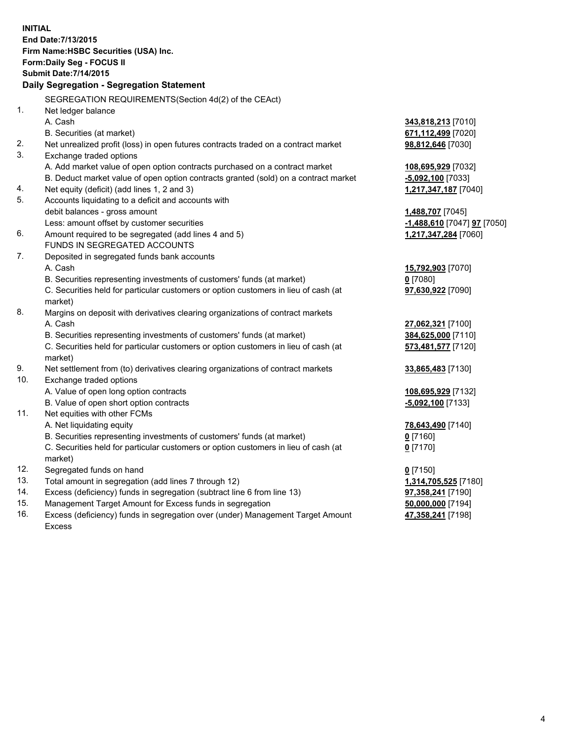**INITIAL End Date:7/13/2015 Firm Name:HSBC Securities (USA) Inc. Form:Daily Seg - FOCUS II Submit Date:7/14/2015 Daily Segregation - Segregation Statement** SEGREGATION REQUIREMENTS(Section 4d(2) of the CEAct) 1. Net ledger balance A. Cash **343,818,213** [7010] B. Securities (at market) **671,112,499** [7020] 2. Net unrealized profit (loss) in open futures contracts traded on a contract market **98,812,646** [7030] 3. Exchange traded options A. Add market value of open option contracts purchased on a contract market **108,695,929** [7032] B. Deduct market value of open option contracts granted (sold) on a contract market **-5,092,100** [7033] 4. Net equity (deficit) (add lines 1, 2 and 3) **1,217,347,187** [7040] 5. Accounts liquidating to a deficit and accounts with debit balances - gross amount **1,488,707** [7045] Less: amount offset by customer securities **-1,488,610** [7047] **97** [7050] 6. Amount required to be segregated (add lines 4 and 5) **1,217,347,284** [7060] FUNDS IN SEGREGATED ACCOUNTS 7. Deposited in segregated funds bank accounts A. Cash **15,792,903** [7070] B. Securities representing investments of customers' funds (at market) **0** [7080] C. Securities held for particular customers or option customers in lieu of cash (at market) **97,630,922** [7090] 8. Margins on deposit with derivatives clearing organizations of contract markets A. Cash **27,062,321** [7100] B. Securities representing investments of customers' funds (at market) **384,625,000** [7110] C. Securities held for particular customers or option customers in lieu of cash (at market) **573,481,577** [7120] 9. Net settlement from (to) derivatives clearing organizations of contract markets **33,865,483** [7130] 10. Exchange traded options A. Value of open long option contracts **108,695,929** [7132] B. Value of open short option contracts **-5,092,100** [7133] 11. Net equities with other FCMs A. Net liquidating equity **78,643,490** [7140] B. Securities representing investments of customers' funds (at market) **0** [7160] C. Securities held for particular customers or option customers in lieu of cash (at market) **0** [7170] 12. Segregated funds on hand **0** [7150] 13. Total amount in segregation (add lines 7 through 12) **1,314,705,525** [7180] 14. Excess (deficiency) funds in segregation (subtract line 6 from line 13) **97,358,241** [7190] 15. Management Target Amount for Excess funds in segregation **50,000,000** [7194] 16. Excess (deficiency) funds in segregation over (under) Management Target Amount **47,358,241** [7198]

Excess